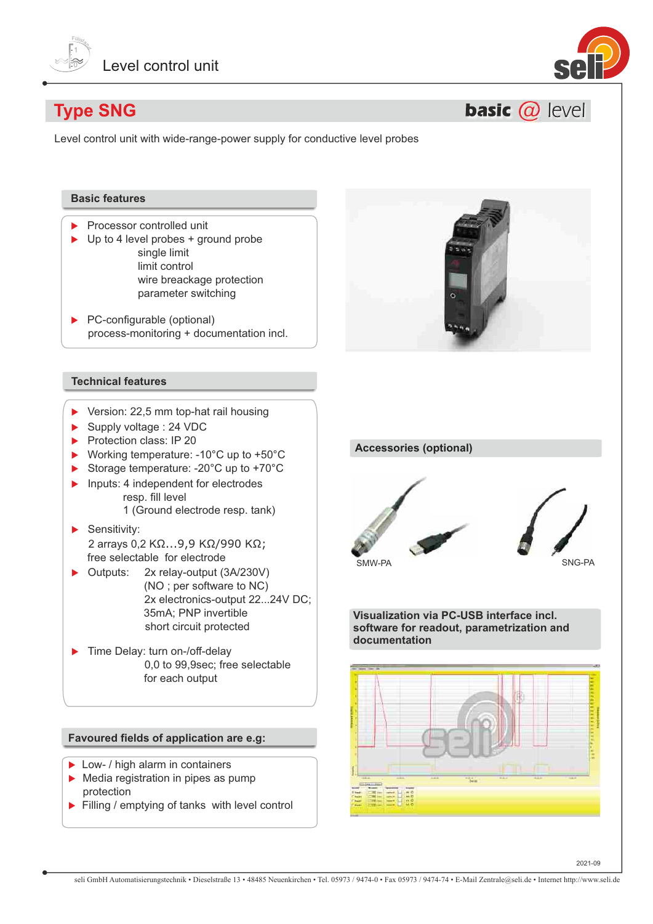



**basic @ level** 

# **Type SNG**

Level control unit with wide-range-power supply for conductive level probes

# **Basic features**

- $\blacktriangleright$  Processor controlled unit
- $\blacktriangleright$  Up to 4 level probes + ground probe single limit limit control wire breackage protection parameter switching
- $\blacktriangleright$  PC-configurable (optional) process-monitoring + documentation incl.

## **Technical features**

- $\blacktriangleright$  Version: 22,5 mm top-hat rail housing
- $\blacktriangleright$  Supply voltage : 24 VDC
- $\blacktriangleright$  Protection class: IP 20
- ▶ Working temperature:  $-10^{\circ}$ C up to  $+50^{\circ}$ C
- Storage temperature: -20 $^{\circ}$ C up to +70 $^{\circ}$ C
- $\blacktriangleright$  Inputs: 4 independent for electrodes resp. fill level 1 (Ground electrode resp. tank)
- $\blacktriangleright$  Sensitivity: 2 arrays 0,2 KΩ...9,9 KΩ/990 KΩ; free selectable for electrode
- $\triangleright$  Outputs: 2x relay-output (3A/230V) (NO ; per software to NC) 2x electronics-output 22...24V DC; 35mA; PNP invertible short circuit protected
- $\blacktriangleright$  Time Delay: turn on-/off-delay 0,0 to 99,9sec; free selectable for each output

### **Favoured fields of application are e.g:**

- ▶ Low- / high alarm in containers
- $\blacktriangleright$  Media registration in pipes as pump protection
- $\blacktriangleright$  Filling / emptying of tanks with level control